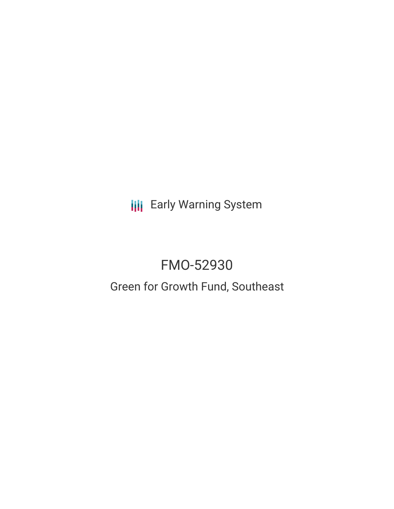**III** Early Warning System

# FMO-52930

## Green for Growth Fund, Southeast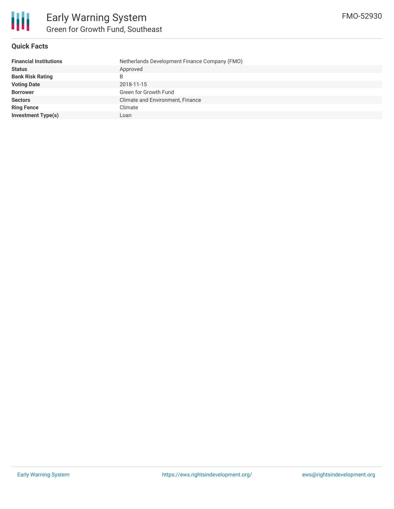

### **Quick Facts**

| <b>Financial Institutions</b> | Netherlands Development Finance Company (FMO) |
|-------------------------------|-----------------------------------------------|
| <b>Status</b>                 | Approved                                      |
| <b>Bank Risk Rating</b>       | B                                             |
| <b>Voting Date</b>            | 2018-11-15                                    |
| <b>Borrower</b>               | Green for Growth Fund                         |
| <b>Sectors</b>                | Climate and Environment, Finance              |
| <b>Ring Fence</b>             | Climate                                       |
| <b>Investment Type(s)</b>     | Loan                                          |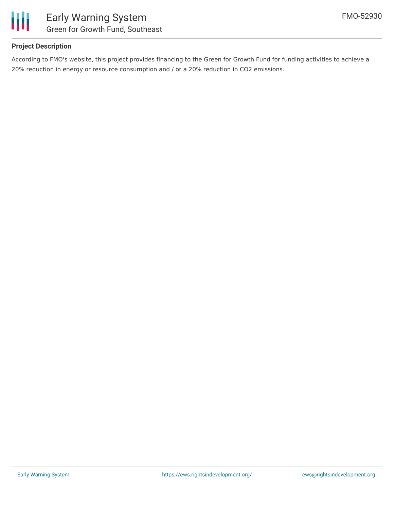

### **Project Description**

According to FMO's website, this project provides financing to the Green for Growth Fund for funding activities to achieve a 20% reduction in energy or resource consumption and / or a 20% reduction in CO2 emissions.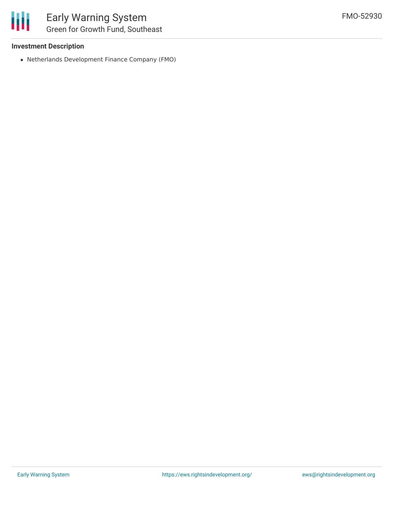### **Investment Description**

Netherlands Development Finance Company (FMO)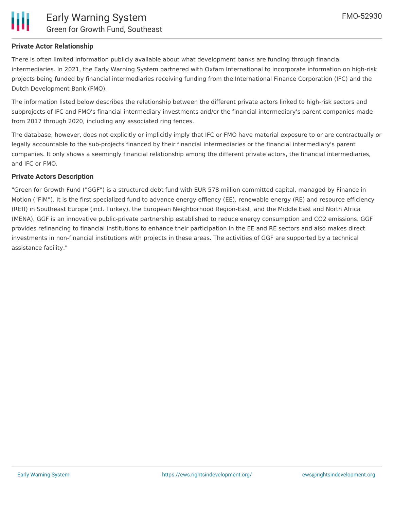

### **Private Actor Relationship**

There is often limited information publicly available about what development banks are funding through financial intermediaries. In 2021, the Early Warning System partnered with Oxfam International to incorporate information on high-risk projects being funded by financial intermediaries receiving funding from the International Finance Corporation (IFC) and the Dutch Development Bank (FMO).

The information listed below describes the relationship between the different private actors linked to high-risk sectors and subprojects of IFC and FMO's financial intermediary investments and/or the financial intermediary's parent companies made from 2017 through 2020, including any associated ring fences.

The database, however, does not explicitly or implicitly imply that IFC or FMO have material exposure to or are contractually or legally accountable to the sub-projects financed by their financial intermediaries or the financial intermediary's parent companies. It only shows a seemingly financial relationship among the different private actors, the financial intermediaries, and IFC or FMO.

### **Private Actors Description**

"Green for Growth Fund ("GGF") is a structured debt fund with EUR 578 million committed capital, managed by Finance in Motion ("FiM"). It is the first specialized fund to advance energy effiency (EE), renewable energy (RE) and resource efficiency (REff) in Southeast Europe (incl. Turkey), the European Neighborhood Region-East, and the Middle East and North Africa (MENA). GGF is an innovative public-private partnership established to reduce energy consumption and CO2 emissions. GGF provides refinancing to financial institutions to enhance their participation in the EE and RE sectors and also makes direct investments in non-financial institutions with projects in these areas. The activities of GGF are supported by a technical assistance facility."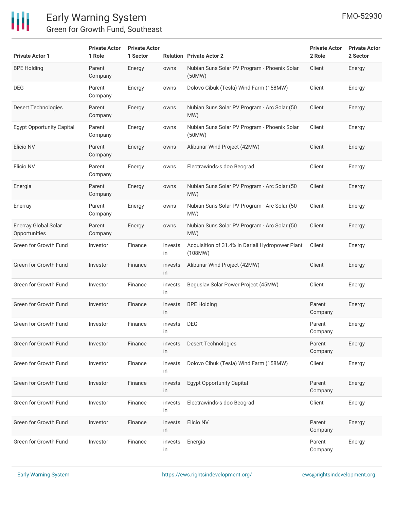

### Early Warning System Green for Growth Fund, Southeast

| <b>Private Actor 1</b>                       | <b>Private Actor</b><br>1 Role | <b>Private Actor</b><br>1 Sector |               | <b>Relation Private Actor 2</b>                             | <b>Private Actor</b><br>2 Role | <b>Private Actor</b><br>2 Sector |
|----------------------------------------------|--------------------------------|----------------------------------|---------------|-------------------------------------------------------------|--------------------------------|----------------------------------|
| <b>BPE Holding</b>                           | Parent<br>Company              | Energy                           | owns          | Nubian Suns Solar PV Program - Phoenix Solar<br>(50MW)      | Client                         | Energy                           |
| <b>DEG</b>                                   | Parent<br>Company              | Energy                           | owns          | Dolovo Cibuk (Tesla) Wind Farm (158MW)                      | Client                         | Energy                           |
| <b>Desert Technologies</b>                   | Parent<br>Company              | Energy                           | owns          | Nubian Suns Solar PV Program - Arc Solar (50<br>MW)         | Client                         | Energy                           |
| <b>Egypt Opportunity Capital</b>             | Parent<br>Company              | Energy                           | owns          | Nubian Suns Solar PV Program - Phoenix Solar<br>(50MW)      | Client                         | Energy                           |
| Elicio NV                                    | Parent<br>Company              | Energy                           | owns          | Alibunar Wind Project (42MW)                                | Client                         | Energy                           |
| Elicio NV                                    | Parent<br>Company              | Energy                           | owns          | Electrawinds-s doo Beograd                                  | Client                         | Energy                           |
| Energia                                      | Parent<br>Company              | Energy                           | owns          | Nubian Suns Solar PV Program - Arc Solar (50<br>MW)         | Client                         | Energy                           |
| Enerray                                      | Parent<br>Company              | Energy                           | owns          | Nubian Suns Solar PV Program - Arc Solar (50<br>MW)         | Client                         | Energy                           |
| <b>Enerray Global Solar</b><br>Opportunities | Parent<br>Company              | Energy                           | owns          | Nubian Suns Solar PV Program - Arc Solar (50<br>MW)         | Client                         | Energy                           |
| Green for Growth Fund                        | Investor                       | Finance                          | invests<br>in | Acquisition of 31.4% in Dariali Hydropower Plant<br>(108MW) | Client                         | Energy                           |
| Green for Growth Fund                        | Investor                       | Finance                          | invests<br>in | Alibunar Wind Project (42MW)                                | Client                         | Energy                           |
| Green for Growth Fund                        | Investor                       | Finance                          | invests<br>in | Boguslav Solar Power Project (45MW)                         | Client                         | Energy                           |
| Green for Growth Fund                        | Investor                       | Finance                          | invests<br>in | <b>BPE Holding</b>                                          | Parent<br>Company              | Energy                           |
| Green for Growth Fund                        | Investor                       | Finance                          | invests<br>in | <b>DEG</b>                                                  | Parent<br>Company              | Energy                           |
| Green for Growth Fund                        | Investor                       | Finance                          | invests<br>in | Desert Technologies                                         | Parent<br>Company              | Energy                           |
| Green for Growth Fund                        | Investor                       | Finance                          | invests<br>in | Dolovo Cibuk (Tesla) Wind Farm (158MW)                      | Client                         | Energy                           |
| Green for Growth Fund                        | Investor                       | Finance                          | invests<br>in | <b>Egypt Opportunity Capital</b>                            | Parent<br>Company              | Energy                           |
| Green for Growth Fund                        | Investor                       | Finance                          | invests<br>in | Electrawinds-s doo Beograd                                  | Client                         | Energy                           |
| Green for Growth Fund                        | Investor                       | Finance                          | invests<br>in | Elicio NV                                                   | Parent<br>Company              | Energy                           |
| Green for Growth Fund                        | Investor                       | Finance                          | invests<br>in | Energia                                                     | Parent<br>Company              | Energy                           |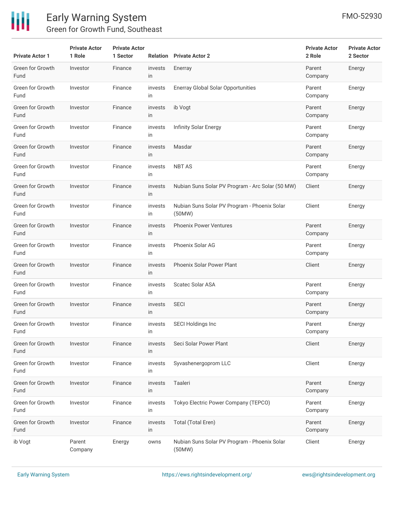

## Early Warning System Green for Growth Fund, Southeast

| <b>Private Actor 1</b>   | <b>Private Actor</b><br>1 Role | <b>Private Actor</b><br>1 Sector |               | <b>Relation</b> Private Actor 2                        | <b>Private Actor</b><br>2 Role | <b>Private Actor</b><br>2 Sector |
|--------------------------|--------------------------------|----------------------------------|---------------|--------------------------------------------------------|--------------------------------|----------------------------------|
| Green for Growth<br>Fund | Investor                       | Finance                          | invests<br>in | Enerray                                                | Parent<br>Company              | Energy                           |
| Green for Growth<br>Fund | Investor                       | Finance                          | invests<br>in | <b>Enerray Global Solar Opportunities</b>              | Parent<br>Company              | Energy                           |
| Green for Growth<br>Fund | Investor                       | Finance                          | invests<br>in | ib Vogt                                                | Parent<br>Company              | Energy                           |
| Green for Growth<br>Fund | Investor                       | Finance                          | invests<br>in | <b>Infinity Solar Energy</b>                           | Parent<br>Company              | Energy                           |
| Green for Growth<br>Fund | Investor                       | Finance                          | invests<br>in | Masdar                                                 | Parent<br>Company              | Energy                           |
| Green for Growth<br>Fund | Investor                       | Finance                          | invests<br>in | <b>NBT AS</b>                                          | Parent<br>Company              | Energy                           |
| Green for Growth<br>Fund | Investor                       | Finance                          | invests<br>in | Nubian Suns Solar PV Program - Arc Solar (50 MW)       | Client                         | Energy                           |
| Green for Growth<br>Fund | Investor                       | Finance                          | invests<br>in | Nubian Suns Solar PV Program - Phoenix Solar<br>(50MW) | Client                         | Energy                           |
| Green for Growth<br>Fund | Investor                       | Finance                          | invests<br>in | <b>Phoenix Power Ventures</b>                          | Parent<br>Company              | Energy                           |
| Green for Growth<br>Fund | Investor                       | Finance                          | invests<br>in | Phoenix Solar AG                                       | Parent<br>Company              | Energy                           |
| Green for Growth<br>Fund | Investor                       | Finance                          | invests<br>in | Phoenix Solar Power Plant                              | Client                         | Energy                           |
| Green for Growth<br>Fund | Investor                       | Finance                          | invests<br>in | <b>Scatec Solar ASA</b>                                | Parent<br>Company              | Energy                           |
| Green for Growth<br>Fund | Investor                       | Finance                          | invests<br>in | <b>SECI</b>                                            | Parent<br>Company              | Energy                           |
| Green for Growth<br>Fund | Investor                       | Finance                          | invests<br>in | <b>SECI Holdings Inc</b>                               | Parent<br>Company              | Energy                           |
| Green for Growth<br>Fund | Investor                       | Finance                          | invests<br>in | Seci Solar Power Plant                                 | Client                         | Energy                           |
| Green for Growth<br>Fund | Investor                       | Finance                          | invests<br>in | Syvashenergoprom LLC                                   | Client                         | Energy                           |
| Green for Growth<br>Fund | Investor                       | Finance                          | invests<br>in | Taaleri                                                | Parent<br>Company              | Energy                           |
| Green for Growth<br>Fund | Investor                       | Finance                          | invests<br>in | Tokyo Electric Power Company (TEPCO)                   | Parent<br>Company              | Energy                           |
| Green for Growth<br>Fund | Investor                       | Finance                          | invests<br>in | Total (Total Eren)                                     | Parent<br>Company              | Energy                           |
| ib Vogt                  | Parent<br>Company              | Energy                           | owns          | Nubian Suns Solar PV Program - Phoenix Solar<br>(50MW) | Client                         | Energy                           |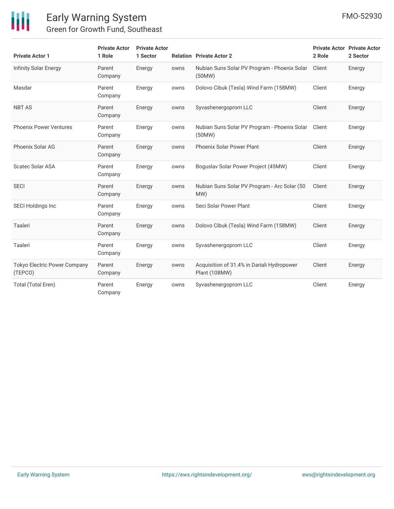

### Early Warning System Green for Growth Fund, Southeast

| <b>Private Actor 1</b>                  | <b>Private Actor</b><br>1 Role | <b>Private Actor</b><br>1 Sector |      | <b>Relation Private Actor 2</b>                             | <b>Private Actor Private Actor</b><br>2 Role | 2 Sector |
|-----------------------------------------|--------------------------------|----------------------------------|------|-------------------------------------------------------------|----------------------------------------------|----------|
| <b>Infinity Solar Energy</b>            | Parent<br>Company              | Energy                           | owns | Nubian Suns Solar PV Program - Phoenix Solar<br>(50MW)      | Client                                       | Energy   |
| Masdar                                  | Parent<br>Company              | Energy                           | owns | Dolovo Cibuk (Tesla) Wind Farm (158MW)                      | Client                                       | Energy   |
| <b>NBT AS</b>                           | Parent<br>Company              | Energy                           | owns | Syvashenergoprom LLC                                        | Client                                       | Energy   |
| <b>Phoenix Power Ventures</b>           | Parent<br>Company              | Energy                           | owns | Nubian Suns Solar PV Program - Phoenix Solar<br>(50MW)      | Client                                       | Energy   |
| Phoenix Solar AG                        | Parent<br>Company              | Energy                           | owns | <b>Phoenix Solar Power Plant</b>                            | Client                                       | Energy   |
| <b>Scatec Solar ASA</b>                 | Parent<br>Company              | Energy                           | owns | Boguslav Solar Power Project (45MW)                         | Client                                       | Energy   |
| <b>SECI</b>                             | Parent<br>Company              | Energy                           | owns | Nubian Suns Solar PV Program - Arc Solar (50<br>MW)         | Client                                       | Energy   |
| <b>SECI Holdings Inc</b>                | Parent<br>Company              | Energy                           | owns | Seci Solar Power Plant                                      | Client                                       | Energy   |
| Taaleri                                 | Parent<br>Company              | Energy                           | owns | Dolovo Cibuk (Tesla) Wind Farm (158MW)                      | Client                                       | Energy   |
| Taaleri                                 | Parent<br>Company              | Energy                           | owns | Syvashenergoprom LLC                                        | Client                                       | Energy   |
| Tokyo Electric Power Company<br>(TEPCO) | Parent<br>Company              | Energy                           | owns | Acquisition of 31.4% in Dariali Hydropower<br>Plant (108MW) | Client                                       | Energy   |
| Total (Total Eren)                      | Parent<br>Company              | Energy                           | owns | Syvashenergoprom LLC                                        | Client                                       | Energy   |